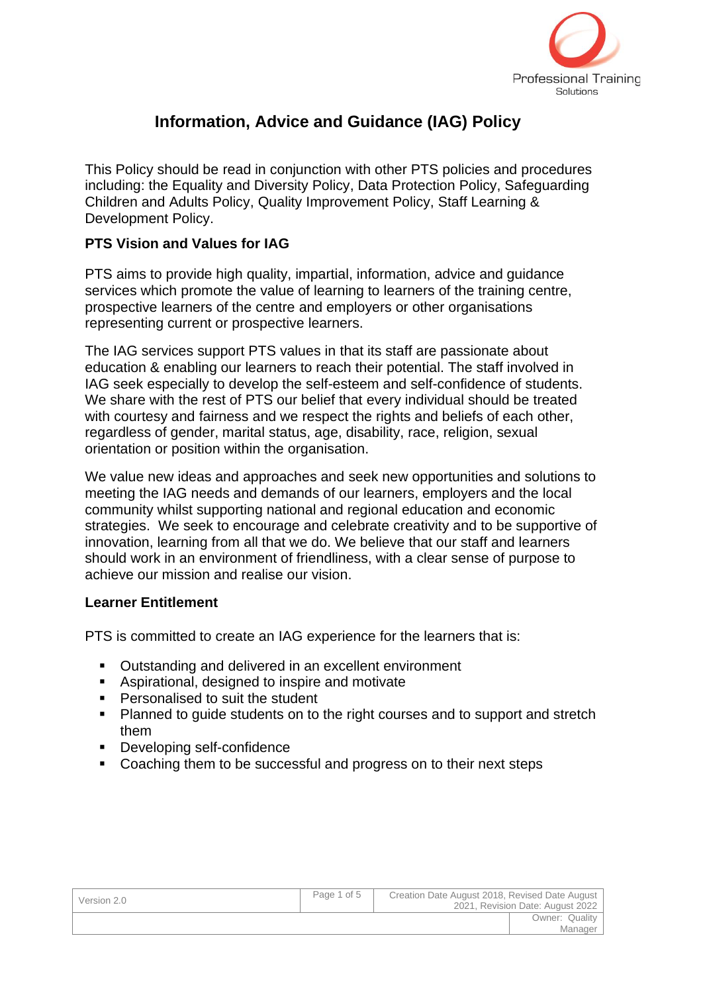

# **Information, Advice and Guidance (IAG) Policy**

This Policy should be read in conjunction with other PTS policies and procedures including: the Equality and Diversity Policy, Data Protection Policy, Safeguarding Children and Adults Policy, Quality Improvement Policy, Staff Learning & Development Policy.

### **PTS Vision and Values for IAG**

PTS aims to provide high quality, impartial, information, advice and guidance services which promote the value of learning to learners of the training centre, prospective learners of the centre and employers or other organisations representing current or prospective learners.

The IAG services support PTS values in that its staff are passionate about education & enabling our learners to reach their potential. The staff involved in IAG seek especially to develop the self-esteem and self-confidence of students. We share with the rest of PTS our belief that every individual should be treated with courtesy and fairness and we respect the rights and beliefs of each other, regardless of gender, marital status, age, disability, race, religion, sexual orientation or position within the organisation.

We value new ideas and approaches and seek new opportunities and solutions to meeting the IAG needs and demands of our learners, employers and the local community whilst supporting national and regional education and economic strategies. We seek to encourage and celebrate creativity and to be supportive of innovation, learning from all that we do. We believe that our staff and learners should work in an environment of friendliness, with a clear sense of purpose to achieve our mission and realise our vision.

#### **Learner Entitlement**

PTS is committed to create an IAG experience for the learners that is:

- Outstanding and delivered in an excellent environment
- Aspirational, designed to inspire and motivate
- Personalised to suit the student
- Planned to guide students on to the right courses and to support and stretch them
- Developing self-confidence
- Coaching them to be successful and progress on to their next steps

| Version 2.0 | Page 1 of 5 | Creation Date August 2018, Revised Date August<br>2021, Revision Date: August 2022 |                |
|-------------|-------------|------------------------------------------------------------------------------------|----------------|
|             |             |                                                                                    | Owner: Quality |
|             |             |                                                                                    | Manager        |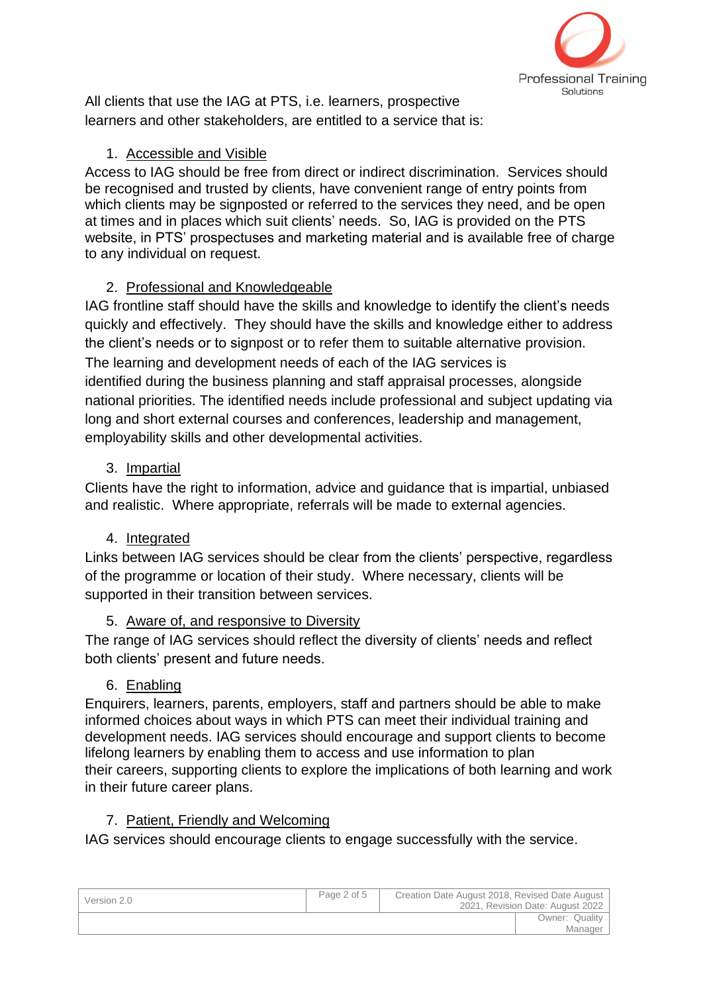

All clients that use the IAG at PTS, i.e. learners, prospective learners and other stakeholders, are entitled to a service that is:

### 1. Accessible and Visible

Access to IAG should be free from direct or indirect discrimination. Services should be recognised and trusted by clients, have convenient range of entry points from which clients may be signposted or referred to the services they need, and be open at times and in places which suit clients' needs. So, IAG is provided on the PTS website, in PTS' prospectuses and marketing material and is available free of charge to any individual on request.

# 2. Professional and Knowledgeable

IAG frontline staff should have the skills and knowledge to identify the client's needs quickly and effectively. They should have the skills and knowledge either to address the client's needs or to signpost or to refer them to suitable alternative provision. The learning and development needs of each of the IAG services is identified during the business planning and staff appraisal processes, alongside national priorities. The identified needs include professional and subject updating via long and short external courses and conferences, leadership and management, employability skills and other developmental activities.

# 3. Impartial

Clients have the right to information, advice and guidance that is impartial, unbiased and realistic. Where appropriate, referrals will be made to external agencies.

# 4. Integrated

Links between IAG services should be clear from the clients' perspective, regardless of the programme or location of their study. Where necessary, clients will be supported in their transition between services.

5. Aware of, and responsive to Diversity

The range of IAG services should reflect the diversity of clients' needs and reflect both clients' present and future needs.

### 6. Enabling

Enquirers, learners, parents, employers, staff and partners should be able to make informed choices about ways in which PTS can meet their individual training and development needs. IAG services should encourage and support clients to become lifelong learners by enabling them to access and use information to plan their careers, supporting clients to explore the implications of both learning and work in their future career plans.

# 7. Patient, Friendly and Welcoming

IAG services should encourage clients to engage successfully with the service.

| Version 2.0 | Page 2 of 5 | Creation Date August 2018, Revised Date August<br>2021, Revision Date: August 2022 |                           |
|-------------|-------------|------------------------------------------------------------------------------------|---------------------------|
|             |             |                                                                                    | Owner: Quality<br>Manager |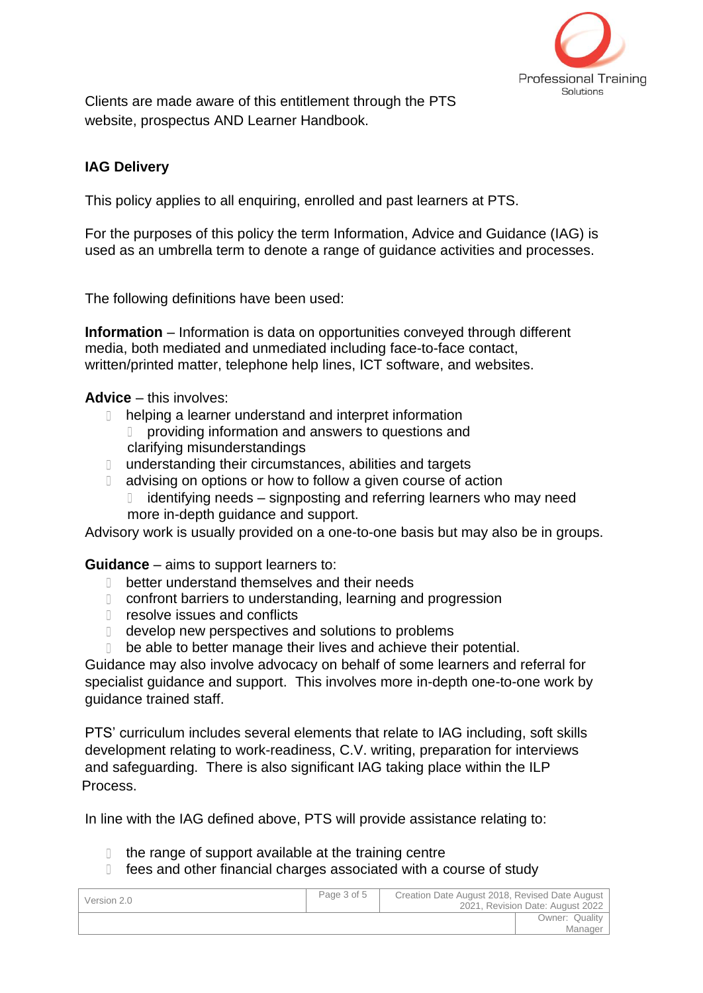

Clients are made aware of this entitlement through the PTS website, prospectus AND Learner Handbook.

### **IAG Delivery**

This policy applies to all enquiring, enrolled and past learners at PTS.

For the purposes of this policy the term Information, Advice and Guidance (IAG) is used as an umbrella term to denote a range of guidance activities and processes.

The following definitions have been used:

**Information** – Information is data on opportunities conveyed through different media, both mediated and unmediated including face-to-face contact, written/printed matter, telephone help lines, ICT software, and websites.

**Advice** – this involves:

- **I** helping a learner understand and interpret information D providing information and answers to questions and clarifying misunderstandings
- **I** understanding their circumstances, abilities and targets
- decay advising on options or how to follow a given course of action
	- $\Box$  identifying needs signposting and referring learners who may need more in-depth guidance and support.

Advisory work is usually provided on a one-to-one basis but may also be in groups.

**Guidance** – aims to support learners to:

- D better understand themselves and their needs
- **Confront barriers to understanding, learning and progression**
- **n** resolve issues and conflicts
- develop new perspectives and solutions to problems
- be able to better manage their lives and achieve their potential.

Guidance may also involve advocacy on behalf of some learners and referral for specialist guidance and support. This involves more in-depth one-to-one work by guidance trained staff.

PTS' curriculum includes several elements that relate to IAG including, soft skills development relating to work-readiness, C.V. writing, preparation for interviews and safeguarding. There is also significant IAG taking place within the ILP Process.

In line with the IAG defined above, PTS will provide assistance relating to:

- $\Box$  the range of support available at the training centre
- fees and other financial charges associated with a course of study

| Version 2.0 | Page 3 of 5 | Creation Date August 2018, Revised Date August | 2021. Revision Date: August 2022 |
|-------------|-------------|------------------------------------------------|----------------------------------|
|             |             |                                                | Owner: Quality<br>Manager        |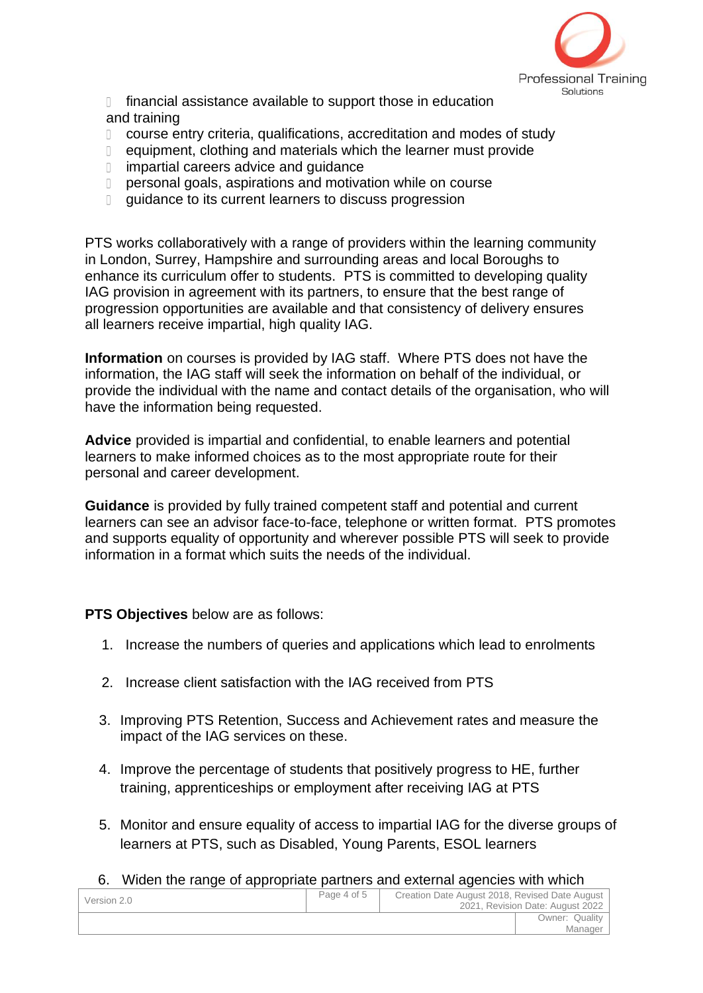

 financial assistance available to support those in education and training

- course entry criteria, qualifications, accreditation and modes of study
- equipment, clothing and materials which the learner must provide
- impartial careers advice and guidance
- personal goals, aspirations and motivation while on course
- **quidance to its current learners to discuss progression**

PTS works collaboratively with a range of providers within the learning community in London, Surrey, Hampshire and surrounding areas and local Boroughs to enhance its curriculum offer to students. PTS is committed to developing quality IAG provision in agreement with its partners, to ensure that the best range of progression opportunities are available and that consistency of delivery ensures all learners receive impartial, high quality IAG.

**Information** on courses is provided by IAG staff. Where PTS does not have the information, the IAG staff will seek the information on behalf of the individual, or provide the individual with the name and contact details of the organisation, who will have the information being requested.

**Advice** provided is impartial and confidential, to enable learners and potential learners to make informed choices as to the most appropriate route for their personal and career development.

**Guidance** is provided by fully trained competent staff and potential and current learners can see an advisor face-to-face, telephone or written format. PTS promotes and supports equality of opportunity and wherever possible PTS will seek to provide information in a format which suits the needs of the individual.

**PTS Objectives** below are as follows:

- 1. Increase the numbers of queries and applications which lead to enrolments
- 2. Increase client satisfaction with the IAG received from PTS
- 3. Improving PTS Retention, Success and Achievement rates and measure the impact of the IAG services on these.
- 4. Improve the percentage of students that positively progress to HE, further training, apprenticeships or employment after receiving IAG at PTS
- 5. Monitor and ensure equality of access to impartial IAG for the diverse groups of learners at PTS, such as Disabled, Young Parents, ESOL learners
- 6. Widen the range of appropriate partners and external agencies with which

| Version 2.0 | Page 4 of 5 | Creation Date August 2018, Revised Date August | 2021. Revision Date: August 2022 |
|-------------|-------------|------------------------------------------------|----------------------------------|
|             |             |                                                | Owner: Quality                   |
|             |             |                                                | Manager                          |